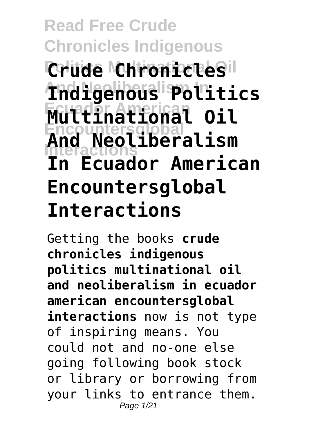#### **Read Free Crude Chronicles Indigenous Crude Chronicles**il **And Neoliberalism In Indigenous Politics Ecuador American Multinational Oil Encountersglobal Interactions And Neoliberalism In Ecuador American Encountersglobal Interactions**

Getting the books **crude chronicles indigenous politics multinational oil and neoliberalism in ecuador american encountersglobal interactions** now is not type of inspiring means. You could not and no-one else going following book stock or library or borrowing from your links to entrance them. Page 1/21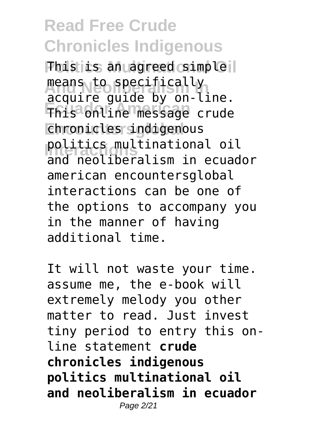**This is an agreed simple l** means to specifically **Ecuador American** This online message crude **Encountersglobal** chronicles indigenous **Politics multinational oil**<br>
and **posliberalism** in equad acquire guide by on-line. and neoliberalism in ecuador american encountersglobal interactions can be one of the options to accompany you in the manner of having additional time.

It will not waste your time. assume me, the e-book will extremely melody you other matter to read. Just invest tiny period to entry this online statement **crude chronicles indigenous politics multinational oil and neoliberalism in ecuador** Page 2/21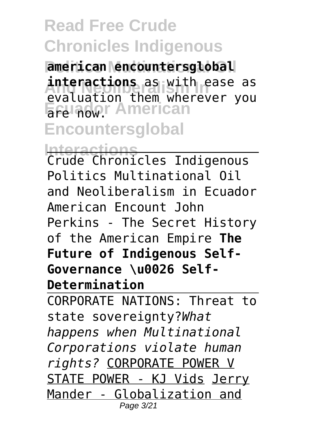**Politics Multinational Oil american encountersglobal interactions** as with ease as Erature **American Encountersglobal** evaluation them wherever you

**Interactions** Crude Chronicles Indigenous Politics Multinational Oil and Neoliberalism in Ecuador American Encount John Perkins - The Secret History of the American Empire **The Future of Indigenous Self-Governance \u0026 Self-Determination**

CORPORATE NATIONS: Threat to state sovereignty?*What happens when Multinational Corporations violate human rights?* CORPORATE POWER V STATE POWER - KJ Vids Jerry Mander - Globalization and Page 3/21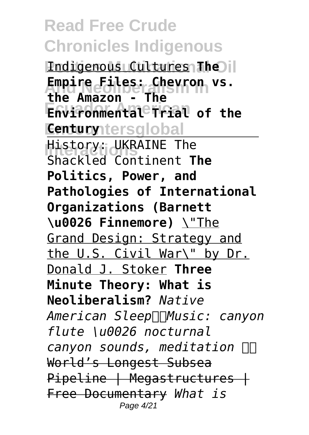**Indigenous Cultures The Empire Files: Chevron vs.**<br>The Messan Piles of Phoenix vs. **Environmental Trial of the Century** tersglobal **History: UKRAINE The the Amazon - The** Shackled Continent **The Politics, Power, and Pathologies of International Organizations (Barnett \u0026 Finnemore)** \"The Grand Design: Strategy and the U.S. Civil War\" by Dr. Donald J. Stoker **Three Minute Theory: What is Neoliberalism?** *Native American SleepMusic: canyon flute \u0026 nocturnal canyon sounds, meditation*  World's Longest Subsea Pipeline | Megastructures | Free Documentary *What is* Page 4/21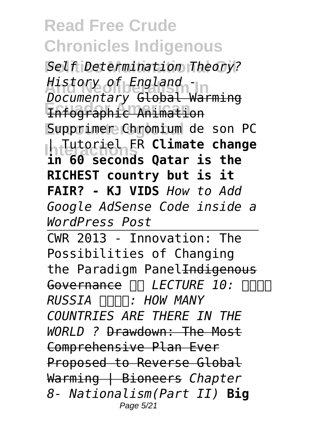**Politics Multinational Oil** *Self Determination Theory?* **And Neoliberalism In** *History of England -* **Ecuador American** Infographic Animation Supprimer Chromium de son PC **Interactions** | Tutoriel FR **Climate change** *Documentary* Global Warming **in 60 seconds Qatar is the RICHEST country but is it FAIR? - KJ VIDS** *How to Add Google AdSense Code inside a WordPress Post*

CWR 2013 - Innovation: The Possibilities of Changing the Paradigm Panel Indigenous Governance  $\Pi$  LECTURE 10:  $\Pi\Pi$ *RUSSIA : HOW MANY COUNTRIES ARE THERE IN THE WORLD ?* Drawdown: The Most Comprehensive Plan Ever Proposed to Reverse Global Warming | Bioneers *Chapter 8- Nationalism(Part II)* **Big** Page 5/21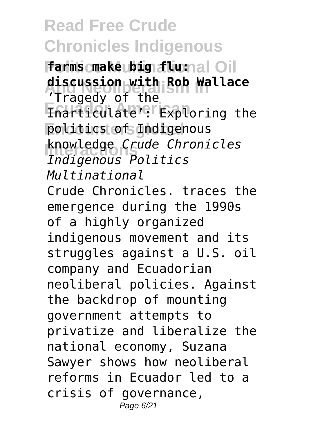**Politics Multinational Oil farms make big flu: And Neoliberalism In discussion with Rob Wallace Ecuador American** Inarticulate': Exploring the **Politics of Indigenous Interactions** *Indigenous Politics* 'Tragedy of the knowledge *Crude Chronicles Multinational* Crude Chronicles. traces the emergence during the 1990s of a highly organized indigenous movement and its struggles against a U.S. oil company and Ecuadorian neoliberal policies. Against the backdrop of mounting government attempts to privatize and liberalize the national economy, Suzana Sawyer shows how neoliberal reforms in Ecuador led to a crisis of governance, Page 6/21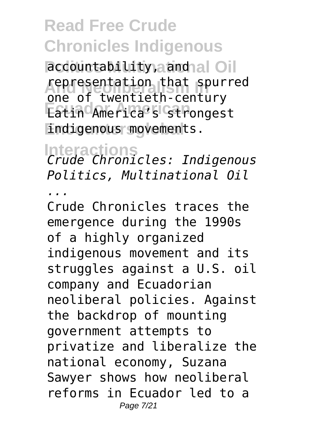**Paccountability, and al Oil** representation that spurred **Eatin America's strongest Endigenous movements.** one of twentieth-century

**Interactions** *Crude Chronicles: Indigenous Politics, Multinational Oil*

*...*

Crude Chronicles traces the emergence during the 1990s of a highly organized indigenous movement and its struggles against a U.S. oil company and Ecuadorian neoliberal policies. Against the backdrop of mounting government attempts to privatize and liberalize the national economy, Suzana Sawyer shows how neoliberal reforms in Ecuador led to a Page 7/21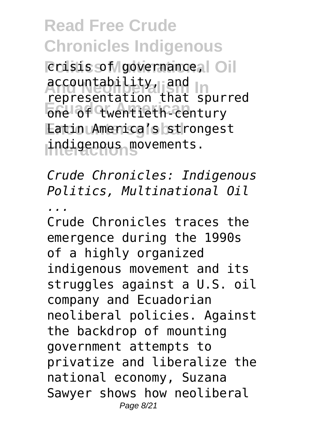*<u>Politics</u>* Crisis of governance,  $\circ$  Oil accountability, and **In Economistical Contract Contract Contract Contract Contract Contract Contract Contract Contract Contract Contract Contract Contract Contract Contract Contract Contract Contract Contract Contract Contract Contract Contract Encountersglobal** Latin America's strongest **Interactions** indigenous movements. representation that spurred

*Crude Chronicles: Indigenous Politics, Multinational Oil*

*...*

Crude Chronicles traces the emergence during the 1990s of a highly organized indigenous movement and its struggles against a U.S. oil company and Ecuadorian neoliberal policies. Against the backdrop of mounting government attempts to privatize and liberalize the national economy, Suzana Sawyer shows how neoliberal Page 8/21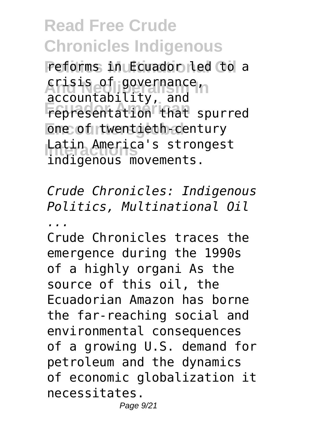**Politics Multinational Oil** reforms in Ecuador led to a crisis of governance<sub>n</sub> **Ecuador American** representation that spurred **One of twentieth-century** Latin America's strongest accountability, and indigenous movements.

*Crude Chronicles: Indigenous Politics, Multinational Oil*

*...*

Crude Chronicles traces the emergence during the 1990s of a highly organi As the source of this oil, the Ecuadorian Amazon has borne the far-reaching social and environmental consequences of a growing U.S. demand for petroleum and the dynamics of economic globalization it necessitates.

Page 9/21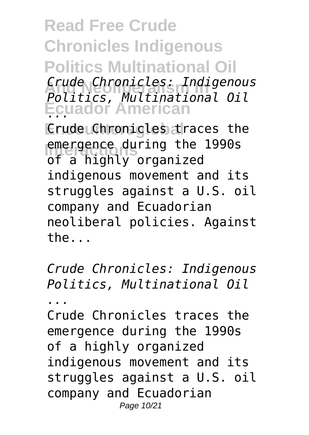**Read Free Crude Chronicles Indigenous Politics Multinational Oil And Neoliberalism In** *Politics, Multinational Oil* **Ecuador American** *...* **Crude Chronicles traces the EXECUTER EMERGENCE CONTROL**<br>
external proposition *Crude Chronicles: Indigenous* of a highly organized indigenous movement and its struggles against a U.S. oil

company and Ecuadorian neoliberal policies. Against the...

*Crude Chronicles: Indigenous Politics, Multinational Oil*

*...*

Crude Chronicles traces the emergence during the 1990s of a highly organized indigenous movement and its struggles against a U.S. oil company and Ecuadorian Page 10/21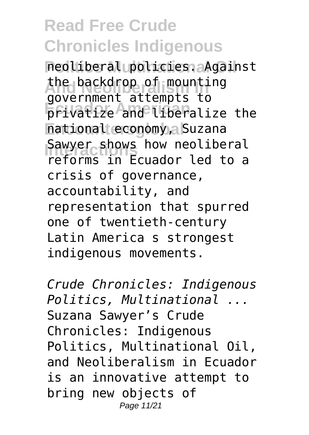**Politics Multinational Oil** neoliberal policies. Against the backdrop of mounting<br>covernments tampts to **Ecuador American** privatize and liberalize the national economy, Suzana Sawyer shows how neoliberal government attempts to reforms in Ecuador led to a crisis of governance, accountability, and representation that spurred one of twentieth-century Latin America s strongest indigenous movements.

*Crude Chronicles: Indigenous Politics, Multinational ...* Suzana Sawyer's Crude Chronicles: Indigenous Politics, Multinational Oil, and Neoliberalism in Ecuador is an innovative attempt to bring new objects of Page 11/21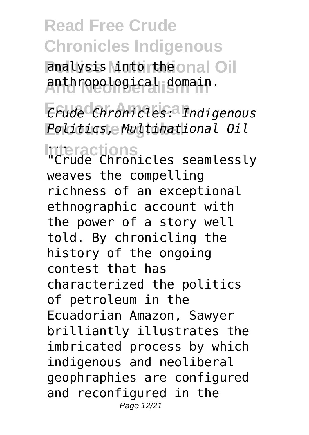analysis Mutortheonal Oil **And Neoliberalism In** anthropological domain.

**Ecuador American** *Crude Chronicles: Indigenous* **Encountersglobal** *Politics, Multinational Oil*

**Interactions** *...* "Crude Chronicles seamlessly weaves the compelling richness of an exceptional ethnographic account with the power of a story well told. By chronicling the history of the ongoing contest that has characterized the politics of petroleum in the Ecuadorian Amazon, Sawyer brilliantly illustrates the imbricated process by which indigenous and neoliberal geophraphies are configured and reconfigured in the Page 12/21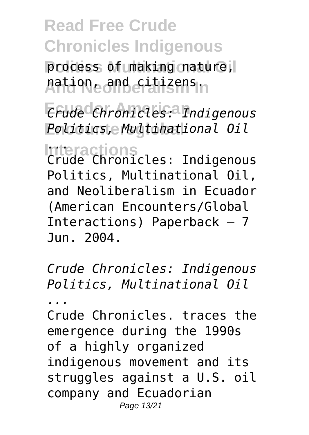process of making nature, **And Neoliberalism In** nation, and citizens.

**Ecuador American** *Crude Chronicles: Indigenous* **Encountersglobal** *Politics, Multinational Oil*

**Interactions** *...* Crude Chronicles: Indigenous Politics, Multinational Oil, and Neoliberalism in Ecuador (American Encounters/Global Interactions) Paperback – 7 Jun. 2004.

*Crude Chronicles: Indigenous Politics, Multinational Oil*

*...*

Crude Chronicles. traces the emergence during the 1990s of a highly organized indigenous movement and its struggles against a U.S. oil company and Ecuadorian Page 13/21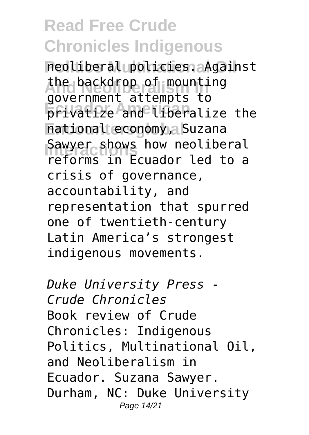**Politics Multinational Oil** neoliberal policies. Against the backdrop of mounting<br>covernments tampts to **Ecuador American** privatize and liberalize the national economy, Suzana Sawyer shows how neoliberal government attempts to reforms in Ecuador led to a crisis of governance, accountability, and representation that spurred one of twentieth-century Latin America's strongest indigenous movements.

*Duke University Press - Crude Chronicles* Book review of Crude Chronicles: Indigenous Politics, Multinational Oil, and Neoliberalism in Ecuador. Suzana Sawyer. Durham, NC: Duke University Page 14/21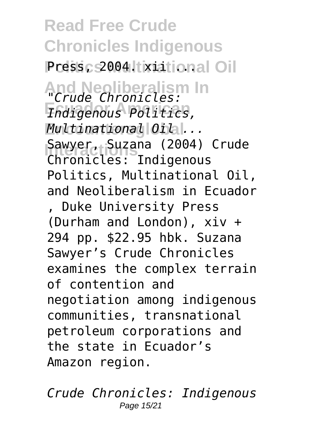**Read Free Crude Chronicles Indigenous** Press<sub>c</sub>s2004. tixiational Oil **And Neoliberalism In** *"Crude Chronicles:* **Ecuador American** *Indigenous Politics,* **Encountersglobal** *Multinational Oil ...* Sawyer, Suzana (2004) Crude Chronicles: Indigenous Politics, Multinational Oil, and Neoliberalism in Ecuador , Duke University Press (Durham and London), xiv + 294 pp. \$22.95 hbk. Suzana Sawyer's Crude Chronicles examines the complex terrain of contention and negotiation among indigenous communities, transnational petroleum corporations and the state in Ecuador's Amazon region.

*Crude Chronicles: Indigenous* Page 15/21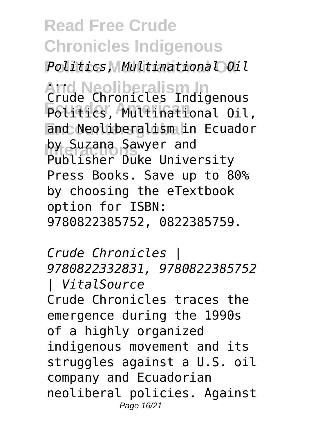**Politics Multinational Oil** *Politics, Multinational Oil*

**And Neoliberalism In** *...* **Ecuador American** Politics, Multinational Oil, **End Neoliberalism in Ecuador** by Suzana Sawyer and<br>**Bublisher Buke Unive** Crude Chronicles Indigenous Publisher Duke University Press Books. Save up to 80% by choosing the eTextbook option for ISBN: 9780822385752, 0822385759.

*Crude Chronicles | 9780822332831, 9780822385752 | VitalSource* Crude Chronicles traces the emergence during the 1990s of a highly organized indigenous movement and its struggles against a U.S. oil company and Ecuadorian neoliberal policies. Against Page 16/21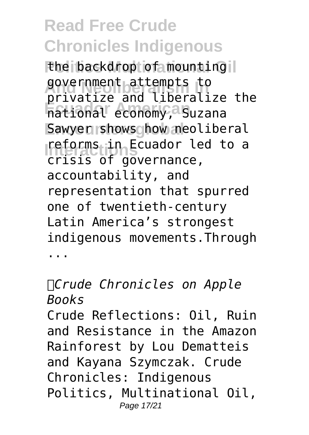the backdrop of mounting il government attempts to<br>privatize and liberalize the **Ecuador American** national economy, Suzana Sawyer shows how neoliberal **reforms** in Ecuador led to a government attempts to crisis of governance, accountability, and representation that spurred one of twentieth-century Latin America's strongest indigenous movements.Through ...

*Crude Chronicles on Apple Books*

Crude Reflections: Oil, Ruin and Resistance in the Amazon Rainforest by Lou Dematteis and Kayana Szymczak. Crude Chronicles: Indigenous Politics, Multinational Oil, Page 17/21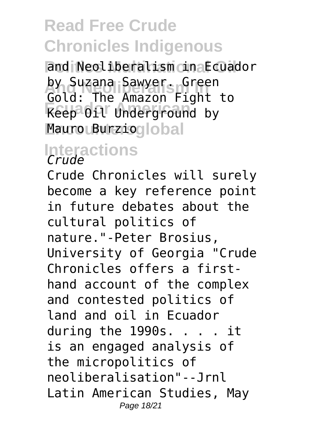**Politics Multinational Oil** and Neoliberalism in Ecuador by Suzana Sawyer. Green **Ecuador American** Keep Oil Underground by Mauro Burzioglobal Gold: The Amazon Fight to

# **Interactions** *Crude*

Crude Chronicles will surely become a key reference point in future debates about the cultural politics of nature."-Peter Brosius, University of Georgia "Crude Chronicles offers a firsthand account of the complex and contested politics of land and oil in Ecuador during the 1990s. . . . it is an engaged analysis of the micropolitics of neoliberalisation"--Jrnl Latin American Studies, May Page 18/21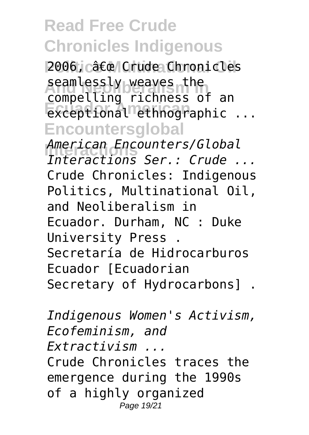2006, c" Crude Chronicles seamtessty weaves the<br>compelling richness of an **Exceptional ethnographic** ... **Encountersglobal Interactions** *American Encounters/Global* seamlessly weaves the *Interactions Ser.: Crude ...* Crude Chronicles: Indigenous Politics, Multinational Oil, and Neoliberalism in Ecuador. Durham, NC : Duke University Press . Secretaría de Hidrocarburos Ecuador [Ecuadorian Secretary of Hydrocarbons] .

*Indigenous Women's Activism, Ecofeminism, and Extractivism ...* Crude Chronicles traces the emergence during the 1990s of a highly organized Page 19/21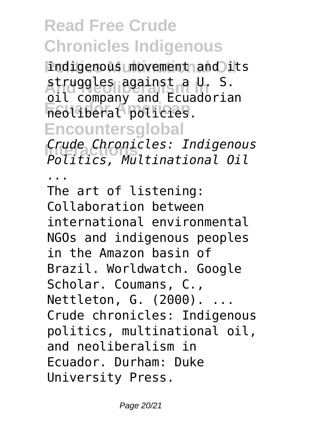indigenous movement and its **And Neoliberalism In** struggles against a U. S. **Ecuador American** neoliberal policies. **Encountersglobal Interactions** *Politics, Multinational Oil* oil company and Ecuadorian *Crude Chronicles: Indigenous*

*...*

The art of listening: Collaboration between international environmental NGOs and indigenous peoples in the Amazon basin of Brazil. Worldwatch. Google Scholar. Coumans, C., Nettleton, G. (2000). ... Crude chronicles: Indigenous politics, multinational oil, and neoliberalism in Ecuador. Durham: Duke University Press.